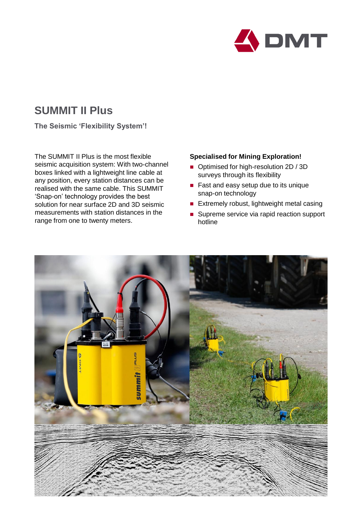

# **SUMMIT II Plus**

**The Seismic 'Flexibility System'!**

The SUMMIT II Plus is the most flexible seismic acquisition system: With two-channel boxes linked with a lightweight line cable at any position, every station distances can be realised with the same cable. This SUMMIT 'Snap-on' technology provides the best solution for near surface 2D and 3D seismic measurements with station distances in the range from one to twenty meters.

## **Specialised for Mining Exploration!**

- Optimised for high-resolution 2D / 3D surveys through its flexibility
- Fast and easy setup due to its unique snap-on technology
- $\blacksquare$  Extremely robust, lightweight metal casing
- Supreme service via rapid reaction support hotline